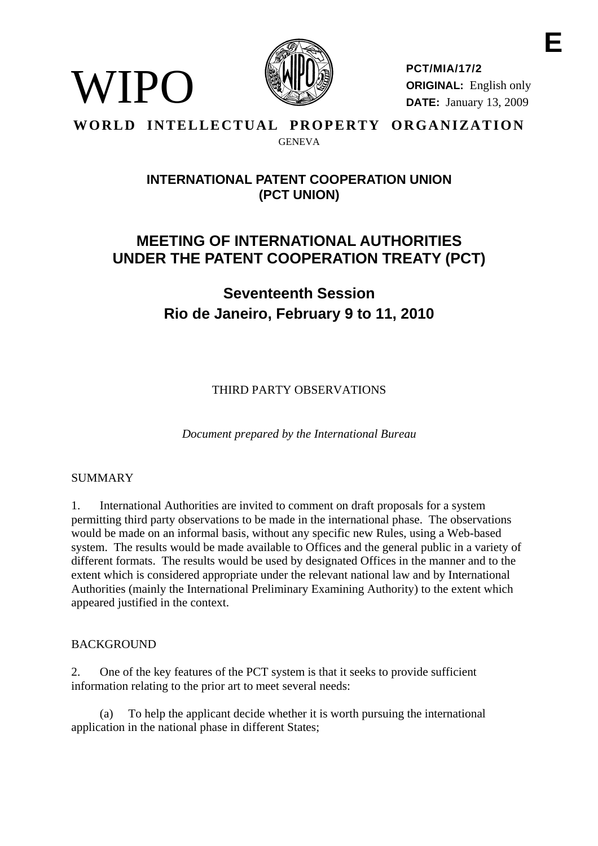

**PCT/MIA/17/2 ORIGINAL:** English only **DATE:** January 13, 2009

#### **WORLD INTELLECTUAL PROPERTY ORGANIZATION GENEVA**

# **INTERNATIONAL PATENT COOPERATION UNION (PCT UNION)**

# **MEETING OF INTERNATIONAL AUTHORITIES UNDER THE PATENT COOPERATION TREATY (PCT)**

**Seventeenth Session Rio de Janeiro, February 9 to 11, 2010** 

THIRD PARTY OBSERVATIONS

*Document prepared by the International Bureau* 

# SUMMARY

WIPO

1. International Authorities are invited to comment on draft proposals for a system permitting third party observations to be made in the international phase. The observations would be made on an informal basis, without any specific new Rules, using a Web-based system. The results would be made available to Offices and the general public in a variety of different formats. The results would be used by designated Offices in the manner and to the extent which is considered appropriate under the relevant national law and by International Authorities (mainly the International Preliminary Examining Authority) to the extent which appeared justified in the context.

## BACKGROUND

2. One of the key features of the PCT system is that it seeks to provide sufficient information relating to the prior art to meet several needs:

 (a) To help the applicant decide whether it is worth pursuing the international application in the national phase in different States;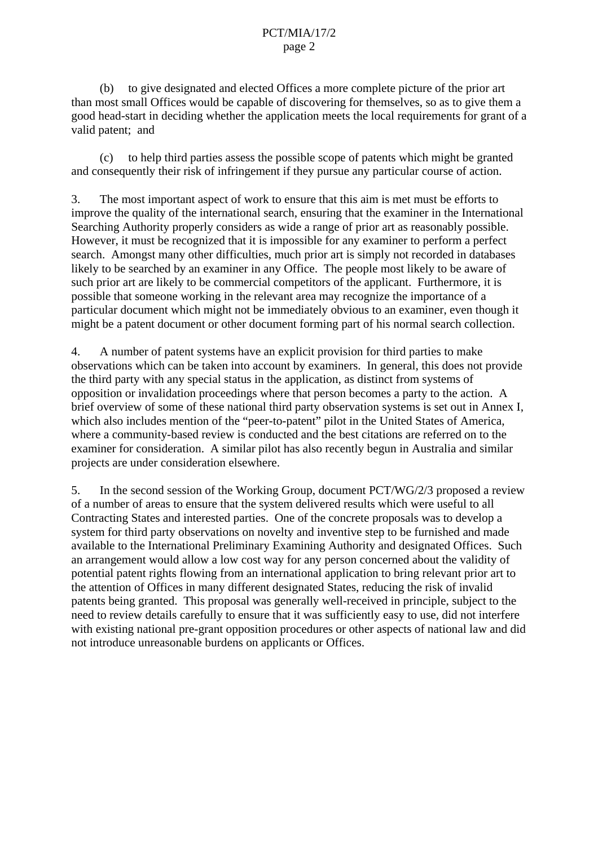(b) to give designated and elected Offices a more complete picture of the prior art than most small Offices would be capable of discovering for themselves, so as to give them a good head-start in deciding whether the application meets the local requirements for grant of a valid patent; and

 (c) to help third parties assess the possible scope of patents which might be granted and consequently their risk of infringement if they pursue any particular course of action.

3. The most important aspect of work to ensure that this aim is met must be efforts to improve the quality of the international search, ensuring that the examiner in the International Searching Authority properly considers as wide a range of prior art as reasonably possible. However, it must be recognized that it is impossible for any examiner to perform a perfect search. Amongst many other difficulties, much prior art is simply not recorded in databases likely to be searched by an examiner in any Office. The people most likely to be aware of such prior art are likely to be commercial competitors of the applicant. Furthermore, it is possible that someone working in the relevant area may recognize the importance of a particular document which might not be immediately obvious to an examiner, even though it might be a patent document or other document forming part of his normal search collection.

4. A number of patent systems have an explicit provision for third parties to make observations which can be taken into account by examiners. In general, this does not provide the third party with any special status in the application, as distinct from systems of opposition or invalidation proceedings where that person becomes a party to the action. A brief overview of some of these national third party observation systems is set out in Annex I, which also includes mention of the "peer-to-patent" pilot in the United States of America, where a community-based review is conducted and the best citations are referred on to the examiner for consideration. A similar pilot has also recently begun in Australia and similar projects are under consideration elsewhere.

5. In the second session of the Working Group, document PCT/WG/2/3 proposed a review of a number of areas to ensure that the system delivered results which were useful to all Contracting States and interested parties. One of the concrete proposals was to develop a system for third party observations on novelty and inventive step to be furnished and made available to the International Preliminary Examining Authority and designated Offices. Such an arrangement would allow a low cost way for any person concerned about the validity of potential patent rights flowing from an international application to bring relevant prior art to the attention of Offices in many different designated States, reducing the risk of invalid patents being granted. This proposal was generally well-received in principle, subject to the need to review details carefully to ensure that it was sufficiently easy to use, did not interfere with existing national pre-grant opposition procedures or other aspects of national law and did not introduce unreasonable burdens on applicants or Offices.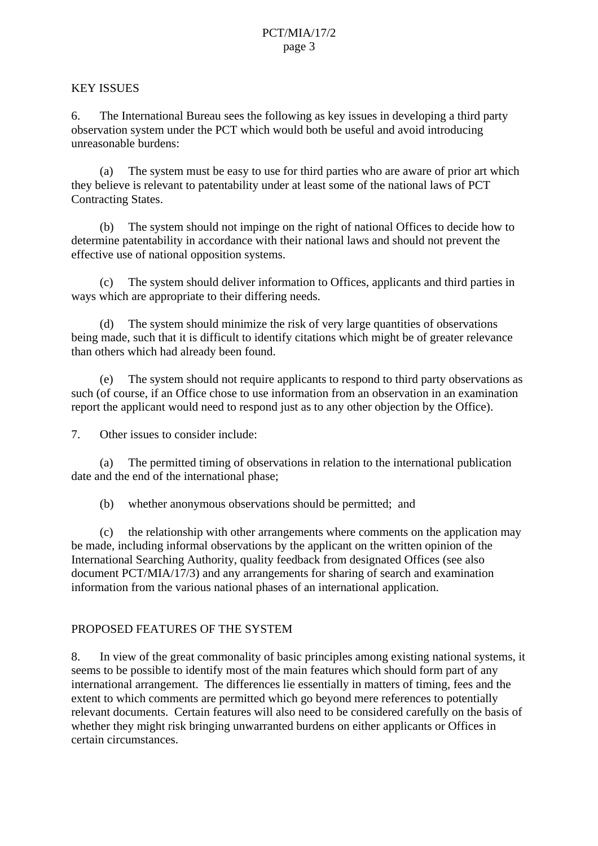#### KEY ISSUES

6. The International Bureau sees the following as key issues in developing a third party observation system under the PCT which would both be useful and avoid introducing unreasonable burdens:

 (a) The system must be easy to use for third parties who are aware of prior art which they believe is relevant to patentability under at least some of the national laws of PCT Contracting States.

 (b) The system should not impinge on the right of national Offices to decide how to determine patentability in accordance with their national laws and should not prevent the effective use of national opposition systems.

 (c) The system should deliver information to Offices, applicants and third parties in ways which are appropriate to their differing needs.

 (d) The system should minimize the risk of very large quantities of observations being made, such that it is difficult to identify citations which might be of greater relevance than others which had already been found.

<span id="page-2-0"></span> (e) The system should not require applicants to respond to third party observations as such (of course, if an Office chose to use information from an observation in an examination report the applicant would need to respond just as to any other objection by the Office).

7. Other issues to consider include:

 (a) The permitted timing of observations in relation to the international publication date and the end of the international phase;

(b) whether anonymous observations should be permitted; and

 (c) the relationship with other arrangements where comments on the application may be made, including informal observations by the applicant on the written opinion of the International Searching Authority, quality feedback from designated Offices (see also document PCT/MIA/17/3) and any arrangements for sharing of search and examination information from the various national phases of an international application.

## PROPOSED FEATURES OF THE SYSTEM

<span id="page-2-1"></span>8. In view of the great commonality of basic principles among existing national systems, it seems to be possible to identify most of the main features which should form part of any international arrangement. The differences lie essentially in matters of timing, fees and the extent to which comments are permitted which go beyond mere references to potentially relevant documents. Certain features will also need to be considered carefully on the basis of whether they might risk bringing unwarranted burdens on either applicants or Offices in certain circumstances.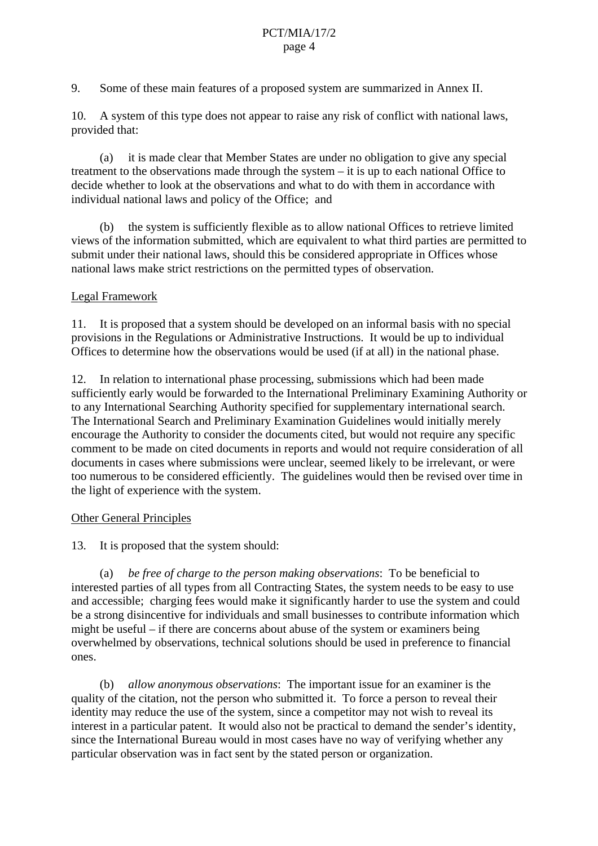9. Some of these main features of a proposed system are summarized in Annex II.

10. A system of this type does not appear to raise any risk of conflict with national laws, provided that:

 (a) it is made clear that Member States are under no obligation to give any special treatment to the observations made through the system – it is up to each national Office to decide whether to look at the observations and what to do with them in accordance with individual national laws and policy of the Office; and

 (b) the system is sufficiently flexible as to allow national Offices to retrieve limited views of the information submitted, which are equivalent to what third parties are permitted to submit under their national laws, should this be considered appropriate in Offices whose national laws make strict restrictions on the permitted types of observation.

#### Legal Framework

11. It is proposed that a system should be developed on an informal basis with no special provisions in the Regulations or Administrative Instructions. It would be up to individual Offices to determine how the observations would be used (if at all) in the national phase.

12. In relation to international phase processing, submissions which had been made sufficiently early would be forwarded to the International Preliminary Examining Authority or to any International Searching Authority specified for supplementary international search. The International Search and Preliminary Examination Guidelines would initially merely encourage the Authority to consider the documents cited, but would not require any specific comment to be made on cited documents in reports and would not require consideration of all documents in cases where submissions were unclear, seemed likely to be irrelevant, or were too numerous to be considered efficiently. The guidelines would then be revised over time in the light of experience with the system.

#### Other General Principles

13. It is proposed that the system should:

 (a) *be free of charge to the person making observations*: To be beneficial to interested parties of all types from all Contracting States, the system needs to be easy to use and accessible; charging fees would make it significantly harder to use the system and could be a strong disincentive for individuals and small businesses to contribute information which might be useful – if there are concerns about abuse of the system or examiners being overwhelmed by observations, technical solutions should be used in preference to financial ones.

 (b) *allow anonymous observations*: The important issue for an examiner is the quality of the citation, not the person who submitted it. To force a person to reveal their identity may reduce the use of the system, since a competitor may not wish to reveal its interest in a particular patent. It would also not be practical to demand the sender's identity, since the International Bureau would in most cases have no way of verifying whether any particular observation was in fact sent by the stated person or organization.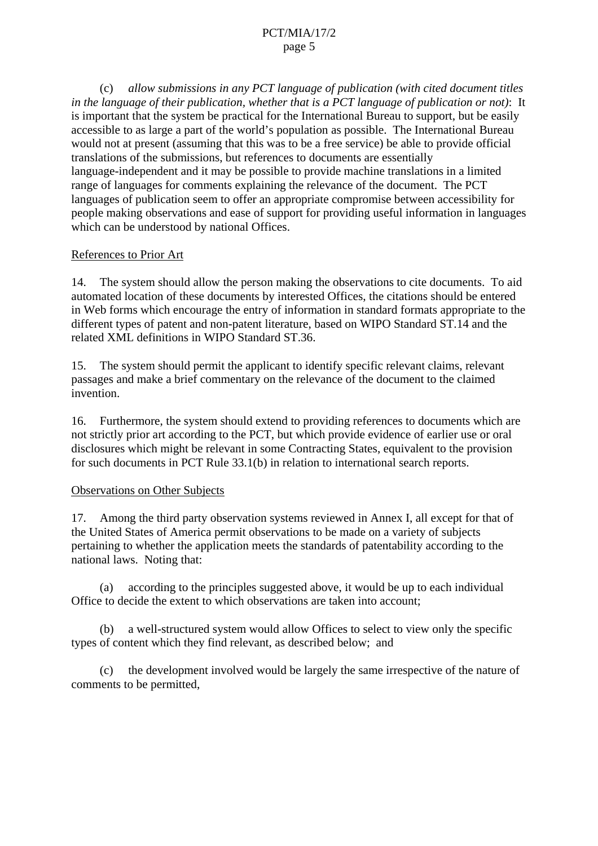(c) *allow submissions in any PCT language of publication (with cited document titles in the language of their publication, whether that is a PCT language of publication or not)*: It is important that the system be practical for the International Bureau to support, but be easily accessible to as large a part of the world's population as possible. The International Bureau would not at present (assuming that this was to be a free service) be able to provide official translations of the submissions, but references to documents are essentially language-independent and it may be possible to provide machine translations in a limited range of languages for comments explaining the relevance of the document. The PCT languages of publication seem to offer an appropriate compromise between accessibility for people making observations and ease of support for providing useful information in languages which can be understood by national Offices.

## References to Prior Art

14. The system should allow the person making the observations to cite documents. To aid automated location of these documents by interested Offices, the citations should be entered in Web forms which encourage the entry of information in standard formats appropriate to the different types of patent and non-patent literature, based on WIPO Standard ST.14 and the related XML definitions in WIPO Standard ST.36.

15. The system should permit the applicant to identify specific relevant claims, relevant passages and make a brief commentary on the relevance of the document to the claimed invention.

16. Furthermore, the system should extend to providing references to documents which are not strictly prior art according to the PCT, but which provide evidence of earlier use or oral disclosures which might be relevant in some Contracting States, equivalent to the provision for such documents in PCT Rule 33.1(b) in relation to international search reports.

## Observations on Other Subjects

17. Among the third party observation systems reviewed in Annex I, all except for that of the United States of America permit observations to be made on a variety of subjects pertaining to whether the application meets the standards of patentability according to the national laws. Noting that:

 (a) according to the principles suggested above, it would be up to each individual Office to decide the extent to which observations are taken into account;

 (b) a well-structured system would allow Offices to select to view only the specific types of content which they find relevant, as described below; and

 (c) the development involved would be largely the same irrespective of the nature of comments to be permitted,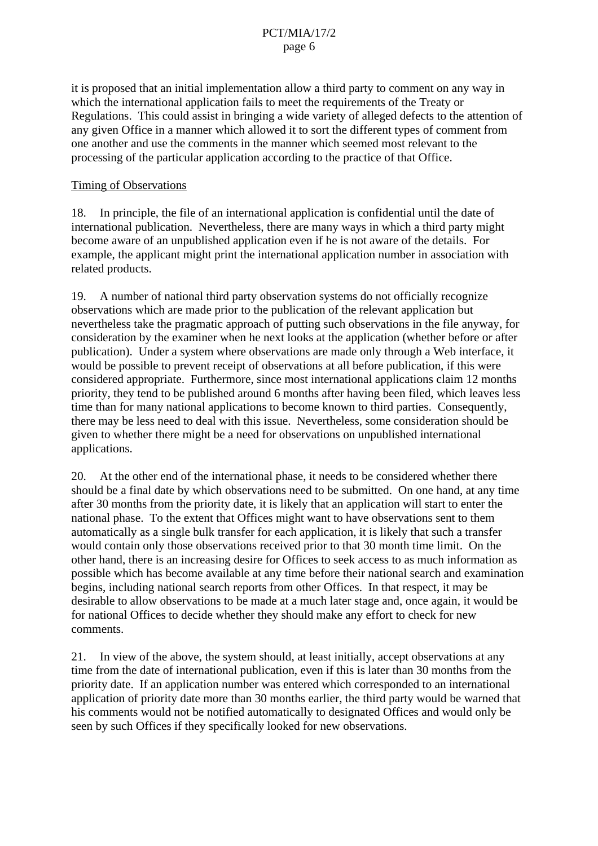it is proposed that an initial implementation allow a third party to comment on any way in which the international application fails to meet the requirements of the Treaty or Regulations. This could assist in bringing a wide variety of alleged defects to the attention of any given Office in a manner which allowed it to sort the different types of comment from one another and use the comments in the manner which seemed most relevant to the processing of the particular application according to the practice of that Office.

#### Timing of Observations

18. In principle, the file of an international application is confidential until the date of international publication. Nevertheless, there are many ways in which a third party might become aware of an unpublished application even if he is not aware of the details. For example, the applicant might print the international application number in association with related products.

19. A number of national third party observation systems do not officially recognize observations which are made prior to the publication of the relevant application but nevertheless take the pragmatic approach of putting such observations in the file anyway, for consideration by the examiner when he next looks at the application (whether before or after publication). Under a system where observations are made only through a Web interface, it would be possible to prevent receipt of observations at all before publication, if this were considered appropriate. Furthermore, since most international applications claim 12 months priority, they tend to be published around 6 months after having been filed, which leaves less time than for many national applications to become known to third parties. Consequently, there may be less need to deal with this issue. Nevertheless, some consideration should be given to whether there might be a need for observations on unpublished international applications.

20. At the other end of the international phase, it needs to be considered whether there should be a final date by which observations need to be submitted. On one hand, at any time after 30 months from the priority date, it is likely that an application will start to enter the national phase. To the extent that Offices might want to have observations sent to them automatically as a single bulk transfer for each application, it is likely that such a transfer would contain only those observations received prior to that 30 month time limit. On the other hand, there is an increasing desire for Offices to seek access to as much information as possible which has become available at any time before their national search and examination begins, including national search reports from other Offices. In that respect, it may be desirable to allow observations to be made at a much later stage and, once again, it would be for national Offices to decide whether they should make any effort to check for new comments.

21. In view of the above, the system should, at least initially, accept observations at any time from the date of international publication, even if this is later than 30 months from the priority date. If an application number was entered which corresponded to an international application of priority date more than 30 months earlier, the third party would be warned that his comments would not be notified automatically to designated Offices and would only be seen by such Offices if they specifically looked for new observations.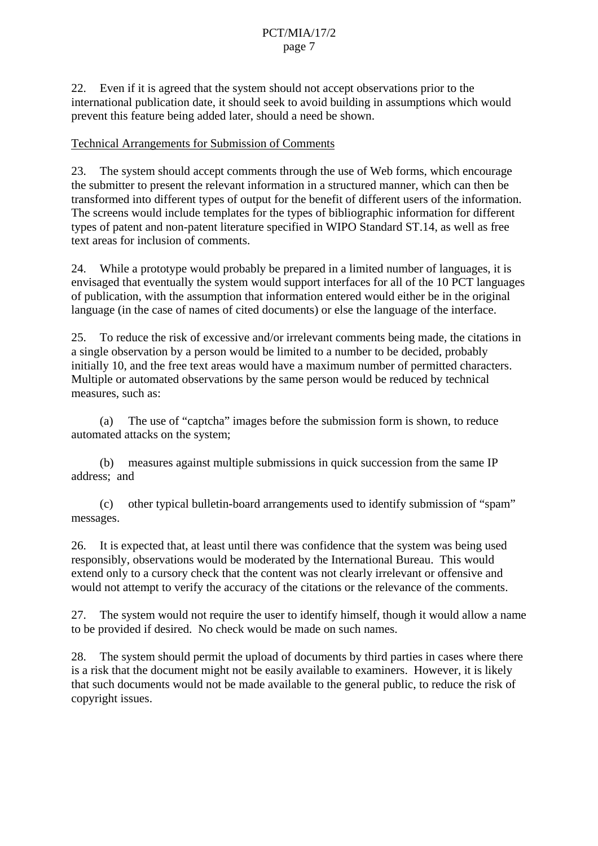22. Even if it is agreed that the system should not accept observations prior to the international publication date, it should seek to avoid building in assumptions which would prevent this feature being added later, should a need be shown.

#### Technical Arrangements for Submission of Comments

23. The system should accept comments through the use of Web forms, which encourage the submitter to present the relevant information in a structured manner, which can then be transformed into different types of output for the benefit of different users of the information. The screens would include templates for the types of bibliographic information for different types of patent and non-patent literature specified in WIPO Standard ST.14, as well as free text areas for inclusion of comments.

24. While a prototype would probably be prepared in a limited number of languages, it is envisaged that eventually the system would support interfaces for all of the 10 PCT languages of publication, with the assumption that information entered would either be in the original language (in the case of names of cited documents) or else the language of the interface.

25. To reduce the risk of excessive and/or irrelevant comments being made, the citations in a single observation by a person would be limited to a number to be decided, probably initially 10, and the free text areas would have a maximum number of permitted characters. Multiple or automated observations by the same person would be reduced by technical measures, such as:

 (a) The use of "captcha" images before the submission form is shown, to reduce automated attacks on the system;

 (b) measures against multiple submissions in quick succession from the same IP address; and

 (c) other typical bulletin-board arrangements used to identify submission of "spam" messages.

26. It is expected that, at least until there was confidence that the system was being used responsibly, observations would be moderated by the International Bureau. This would extend only to a cursory check that the content was not clearly irrelevant or offensive and would not attempt to verify the accuracy of the citations or the relevance of the comments.

27. The system would not require the user to identify himself, though it would allow a name to be provided if desired. No check would be made on such names.

28. The system should permit the upload of documents by third parties in cases where there is a risk that the document might not be easily available to examiners. However, it is likely that such documents would not be made available to the general public, to reduce the risk of copyright issues.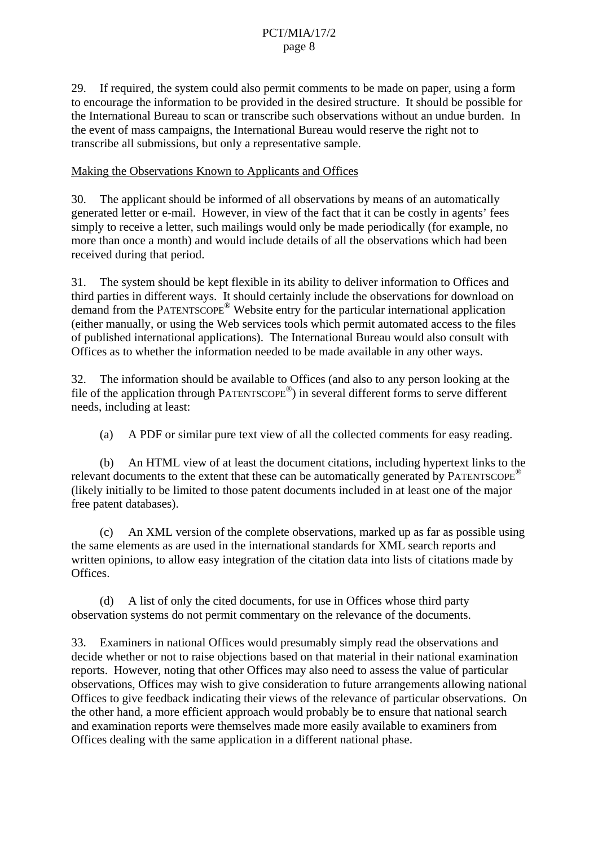29. If required, the system could also permit comments to be made on paper, using a form to encourage the information to be provided in the desired structure. It should be possible for the International Bureau to scan or transcribe such observations without an undue burden. In the event of mass campaigns, the International Bureau would reserve the right not to transcribe all submissions, but only a representative sample.

#### Making the Observations Known to Applicants and Offices

30. The applicant should be informed of all observations by means of an automatically generated letter or e-mail. However, in view of the fact that it can be costly in agents' fees simply to receive a letter, such mailings would only be made periodically (for example, no more than once a month) and would include details of all the observations which had been received during that period.

31. The system should be kept flexible in its ability to deliver information to Offices and third parties in different ways. It should certainly include the observations for download on demand from the PATENTSCOPE® Website entry for the particular international application (either manually, or using the Web services tools which permit automated access to the files of published international applications). The International Bureau would also consult with Offices as to whether the information needed to be made available in any other ways.

32. The information should be available to Offices (and also to any person looking at the file of the application through PATENTSCOPE®) in several different forms to serve different needs, including at least:

(a) A PDF or similar pure text view of all the collected comments for easy reading.

 (b) An HTML view of at least the document citations, including hypertext links to the relevant documents to the extent that these can be automatically generated by PATENTSCOPE® (likely initially to be limited to those patent documents included in at least one of the major free patent databases).

 (c) An XML version of the complete observations, marked up as far as possible using the same elements as are used in the international standards for XML search reports and written opinions, to allow easy integration of the citation data into lists of citations made by Offices.

 (d) A list of only the cited documents, for use in Offices whose third party observation systems do not permit commentary on the relevance of the documents.

33. Examiners in national Offices would presumably simply read the observations and decide whether or not to raise objections based on that material in their national examination reports. However, noting that other Offices may also need to assess the value of particular observations, Offices may wish to give consideration to future arrangements allowing national Offices to give feedback indicating their views of the relevance of particular observations. On the other hand, a more efficient approach would probably be to ensure that national search and examination reports were themselves made more easily available to examiners from Offices dealing with the same application in a different national phase.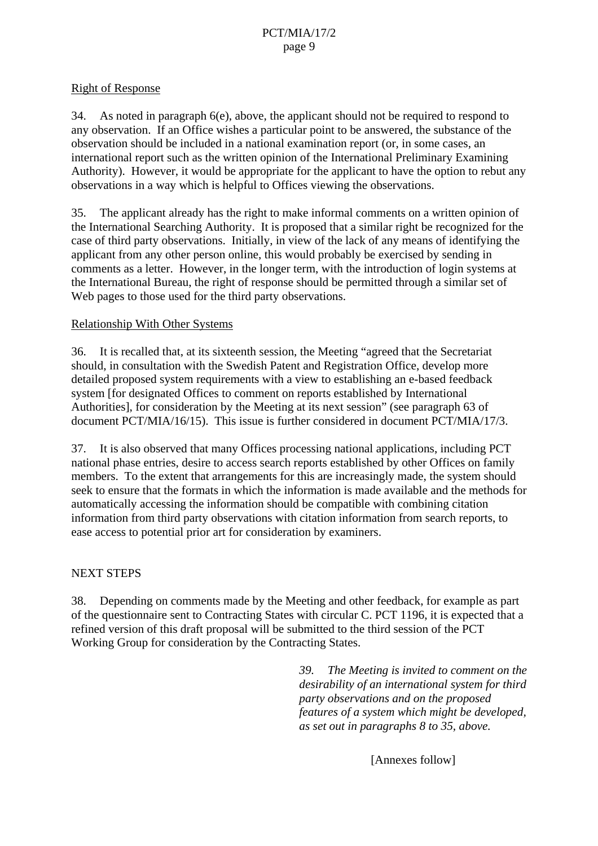## Right of Response

34. As noted in paragraph [6\(e\),](#page-2-0) above, the applicant should not be required to respond to any observation. If an Office wishes a particular point to be answered, the substance of the observation should be included in a national examination report (or, in some cases, an international report such as the written opinion of the International Preliminary Examining Authority). However, it would be appropriate for the applicant to have the option to rebut any observations in a way which is helpful to Offices viewing the observations.

<span id="page-8-0"></span>35. The applicant already has the right to make informal comments on a written opinion of the International Searching Authority. It is proposed that a similar right be recognized for the case of third party observations. Initially, in view of the lack of any means of identifying the applicant from any other person online, this would probably be exercised by sending in comments as a letter. However, in the longer term, with the introduction of login systems at the International Bureau, the right of response should be permitted through a similar set of Web pages to those used for the third party observations.

#### Relationship With Other Systems

36. It is recalled that, at its sixteenth session, the Meeting "agreed that the Secretariat should, in consultation with the Swedish Patent and Registration Office, develop more detailed proposed system requirements with a view to establishing an e-based feedback system [for designated Offices to comment on reports established by International Authorities], for consideration by the Meeting at its next session" (see paragraph 63 of document PCT/MIA/16/15). This issue is further considered in document PCT/MIA/17/3.

37. It is also observed that many Offices processing national applications, including PCT national phase entries, desire to access search reports established by other Offices on family members. To the extent that arrangements for this are increasingly made, the system should seek to ensure that the formats in which the information is made available and the methods for automatically accessing the information should be compatible with combining citation information from third party observations with citation information from search reports, to ease access to potential prior art for consideration by examiners.

## NEXT STEPS

38. Depending on comments made by the Meeting and other feedback, for example as part of the questionnaire sent to Contracting States with circular C. PCT 1196, it is expected that a refined version of this draft proposal will be submitted to the third session of the PCT Working Group for consideration by the Contracting States.

> *39. The Meeting is invited to comment on the desirability of an international system for third party observations and on the proposed features of a system which might be developed, as set out in paragraphs [8](#page-2-1) to [35,](#page-8-0) above.*

> > [Annexes follow]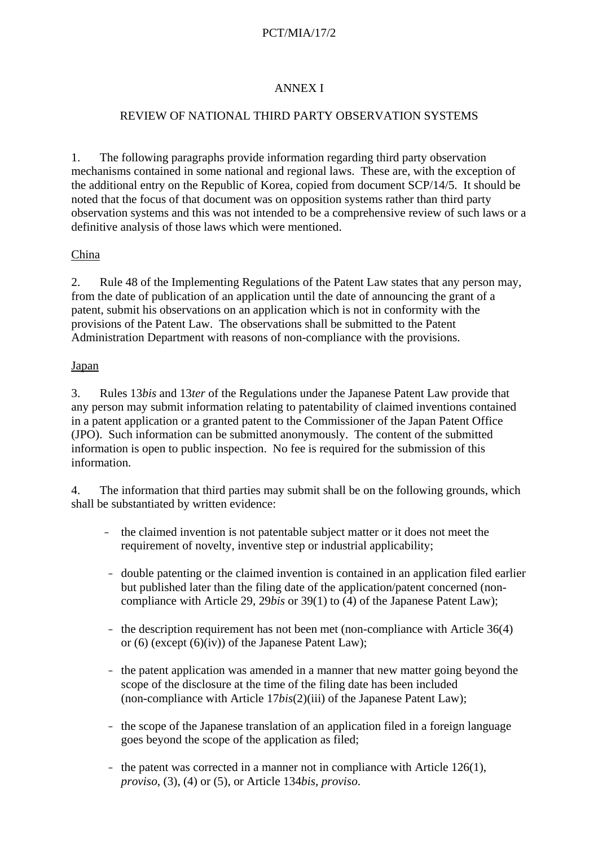# PCT/MIA/17/2

## ANNEX I

## REVIEW OF NATIONAL THIRD PARTY OBSERVATION SYSTEMS

1. The following paragraphs provide information regarding third party observation mechanisms contained in some national and regional laws. These are, with the exception of the additional entry on the Republic of Korea, copied from document SCP/14/5. It should be noted that the focus of that document was on opposition systems rather than third party observation systems and this was not intended to be a comprehensive review of such laws or a definitive analysis of those laws which were mentioned.

## China

2. Rule 48 of the Implementing Regulations of the Patent Law states that any person may, from the date of publication of an application until the date of announcing the grant of a patent, submit his observations on an application which is not in conformity with the provisions of the Patent Law. The observations shall be submitted to the Patent Administration Department with reasons of non-compliance with the provisions.

#### Japan

3. Rules 13*bis* and 13*ter* of the Regulations under the Japanese Patent Law provide that any person may submit information relating to patentability of claimed inventions contained in a patent application or a granted patent to the Commissioner of the Japan Patent Office (JPO). Such information can be submitted anonymously. The content of the submitted information is open to public inspection. No fee is required for the submission of this information.

4. The information that third parties may submit shall be on the following grounds, which shall be substantiated by written evidence:

- the claimed invention is not patentable subject matter or it does not meet the requirement of novelty, inventive step or industrial applicability;
- double patenting or the claimed invention is contained in an application filed earlier but published later than the filing date of the application/patent concerned (noncompliance with Article 29, 29*bis* or 39(1) to (4) of the Japanese Patent Law);
- the description requirement has not been met (non-compliance with Article 36(4) or  $(6)$  (except  $(6)(iv)$ ) of the Japanese Patent Law);
- the patent application was amended in a manner that new matter going beyond the scope of the disclosure at the time of the filing date has been included (non-compliance with Article 17*bis*(2)(iii) of the Japanese Patent Law);
- the scope of the Japanese translation of an application filed in a foreign language goes beyond the scope of the application as filed;
- the patent was corrected in a manner not in compliance with Article 126(1), *proviso*, (3), (4) or (5), or Article 134*bis, proviso*.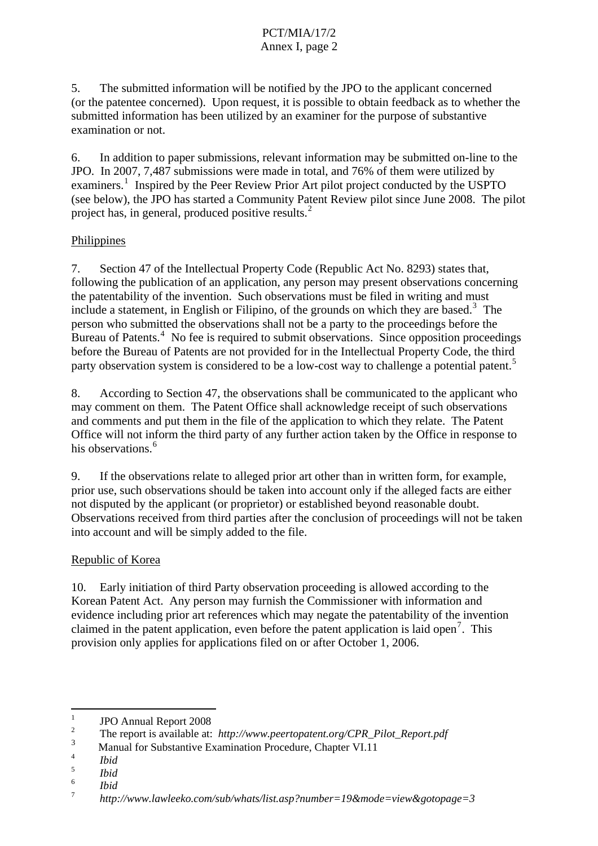## PCT/MIA/17/2 Annex I, page 2

5. The submitted information will be notified by the JPO to the applicant concerned (or the patentee concerned). Upon request, it is possible to obtain feedback as to whether the submitted information has been utilized by an examiner for the purpose of substantive examination or not.

6. In addition to paper submissions, relevant information may be submitted on-line to the JPO. In 2007, 7,487 submissions were made in total, and 76% of them were utilized by examiners.<sup>[1](#page-10-0)</sup> Inspired by the Peer Review Prior Art pilot project conducted by the USPTO (see below), the JPO has started a Community Patent Review pilot since June 2008. The pilot project has, in general, produced positive results. $^{2}$  $^{2}$  $^{2}$ 

## Philippines

7. Section 47 of the Intellectual Property Code (Republic Act No. 8293) states that, following the publication of an application, any person may present observations concerning the patentability of the invention. Such observations must be filed in writing and must include a statement, in English or Filipino, of the grounds on which they are based.<sup>[3](#page-10-2)</sup> The person who submitted the observations shall not be a party to the proceedings before the Bureau of Patents.<sup>[4](#page-10-3)</sup> No fee is required to submit observations. Since opposition proceedings before the Bureau of Patents are not provided for in the Intellectual Property Code, the third party observation system is considered to be a low-cost way to challenge a potential patent.<sup>[5](#page-10-4)</sup>

8. According to Section 47, the observations shall be communicated to the applicant who may comment on them. The Patent Office shall acknowledge receipt of such observations and comments and put them in the file of the application to which they relate. The Patent Office will not inform the third party of any further action taken by the Office in response to his observations.<sup>[6](#page-10-5)</sup>

9. If the observations relate to alleged prior art other than in written form, for example, prior use, such observations should be taken into account only if the alleged facts are either not disputed by the applicant (or proprietor) or established beyond reasonable doubt. Observations received from third parties after the conclusion of proceedings will not be taken into account and will be simply added to the file.

## Republic of Korea

10. Early initiation of third Party observation proceeding is allowed according to the Korean Patent Act. Any person may furnish the Commissioner with information and evidence including prior art references which may negate the patentability of the invention claimed in the patent application, even before the patent application is laid open<sup>[7](#page-10-6)</sup>. This provision only applies for applications filed on or after October 1, 2006.

 $\frac{1}{1}$ JPO Annual Report 2008

<span id="page-10-1"></span><span id="page-10-0"></span><sup>2</sup> The report is available at: *http://www.peertopatent.org/CPR\_Pilot\_Report.pdf*

<span id="page-10-2"></span><sup>3</sup> Manual for Substantive Examination Procedure, Chapter VI.11

<span id="page-10-3"></span><sup>4</sup> *Ibid*

<span id="page-10-4"></span><sup>5</sup> *Ibid*

<span id="page-10-6"></span><span id="page-10-5"></span><sup>6</sup>  $\frac{6}{7}$  *Ibid* 

<sup>7</sup> *http://www.lawleeko.com/sub/whats/list.asp?number=19&mode=view&gotopage=3*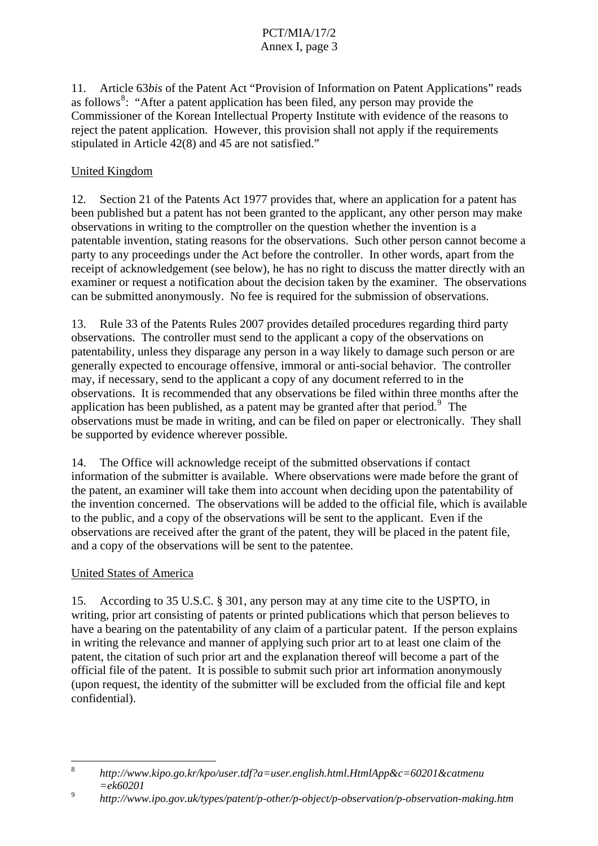## PCT/MIA/17/2 Annex I, page 3

11. Article 63*bis* of the Patent Act "Provision of Information on Patent Applications" reads as follows<sup>[8](#page-11-0)</sup>: "After a patent application has been filed, any person may provide the Commissioner of the Korean Intellectual Property Institute with evidence of the reasons to reject the patent application. However, this provision shall not apply if the requirements stipulated in Article 42(8) and 45 are not satisfied."

## United Kingdom

12. Section 21 of the Patents Act 1977 provides that, where an application for a patent has been published but a patent has not been granted to the applicant, any other person may make observations in writing to the comptroller on the question whether the invention is a patentable invention, stating reasons for the observations. Such other person cannot become a party to any proceedings under the Act before the controller. In other words, apart from the receipt of acknowledgement (see below), he has no right to discuss the matter directly with an examiner or request a notification about the decision taken by the examiner. The observations can be submitted anonymously. No fee is required for the submission of observations.

13. Rule 33 of the Patents Rules 2007 provides detailed procedures regarding third party observations. The controller must send to the applicant a copy of the observations on patentability, unless they disparage any person in a way likely to damage such person or are generally expected to encourage offensive, immoral or anti-social behavior. The controller may, if necessary, send to the applicant a copy of any document referred to in the observations. It is recommended that any observations be filed within three months after the application has been published, as a patent may be granted after that period. $9$  The observations must be made in writing, and can be filed on paper or electronically. They shall be supported by evidence wherever possible.

14. The Office will acknowledge receipt of the submitted observations if contact information of the submitter is available. Where observations were made before the grant of the patent, an examiner will take them into account when deciding upon the patentability of the invention concerned. The observations will be added to the official file, which is available to the public, and a copy of the observations will be sent to the applicant. Even if the observations are received after the grant of the patent, they will be placed in the patent file, and a copy of the observations will be sent to the patentee.

## United States of America

15. According to 35 U.S.C. § 301, any person may at any time cite to the USPTO, in writing, prior art consisting of patents or printed publications which that person believes to have a bearing on the patentability of any claim of a particular patent. If the person explains in writing the relevance and manner of applying such prior art to at least one claim of the patent, the citation of such prior art and the explanation thereof will become a part of the official file of the patent. It is possible to submit such prior art information anonymously (upon request, the identity of the submitter will be excluded from the official file and kept confidential).

<span id="page-11-0"></span> 8 *http://www.kipo.go.kr/kpo/user.tdf?a=user.english.html.HtmlApp&c=60201&catmenu =ek60201*

<span id="page-11-1"></span><sup>9</sup> *http://www.ipo.gov.uk/types/patent/p-other/p-object/p-observation/p-observation-making.htm*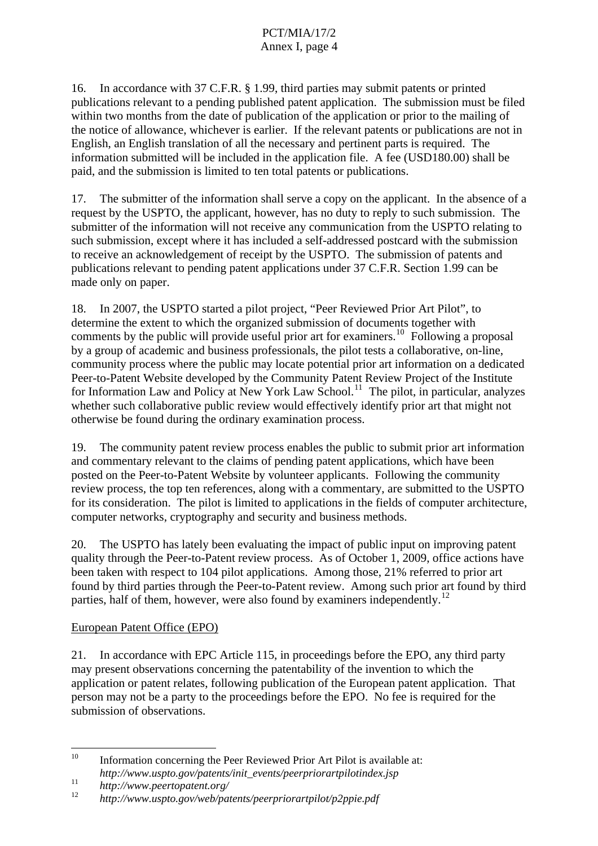16. In accordance with 37 C.F.R. § 1.99, third parties may submit patents or printed publications relevant to a pending published patent application. The submission must be filed within two months from the date of publication of the application or prior to the mailing of the notice of allowance, whichever is earlier. If the relevant patents or publications are not in English, an English translation of all the necessary and pertinent parts is required. The information submitted will be included in the application file. A fee (USD180.00) shall be paid, and the submission is limited to ten total patents or publications.

17. The submitter of the information shall serve a copy on the applicant. In the absence of a request by the USPTO, the applicant, however, has no duty to reply to such submission. The submitter of the information will not receive any communication from the USPTO relating to such submission, except where it has included a self-addressed postcard with the submission to receive an acknowledgement of receipt by the USPTO. The submission of patents and publications relevant to pending patent applications under 37 C.F.R. Section 1.99 can be made only on paper.

18. In 2007, the USPTO started a pilot project, "Peer Reviewed Prior Art Pilot", to determine the extent to which the organized submission of documents together with comments by the public will provide useful prior art for examiners.<sup>[10](#page-12-0)</sup> Following a proposal by a group of academic and business professionals, the pilot tests a collaborative, on-line, community process where the public may locate potential prior art information on a dedicated Peer-to-Patent Website developed by the Community Patent Review Project of the Institute for Information Law and Policy at New York Law School.<sup>[11](#page-12-1)</sup> The pilot, in particular, analyzes whether such collaborative public review would effectively identify prior art that might not otherwise be found during the ordinary examination process.

19. The community patent review process enables the public to submit prior art information and commentary relevant to the claims of pending patent applications, which have been posted on the Peer-to-Patent Website by volunteer applicants. Following the community review process, the top ten references, along with a commentary, are submitted to the USPTO for its consideration. The pilot is limited to applications in the fields of computer architecture, computer networks, cryptography and security and business methods.

20. The USPTO has lately been evaluating the impact of public input on improving patent quality through the Peer-to-Patent review process. As of October 1, 2009, office actions have been taken with respect to 104 pilot applications. Among those, 21% referred to prior art found by third parties through the Peer-to-Patent review. Among such prior art found by third parties, half of them, however, were also found by examiners independently.<sup>[12](#page-12-2)</sup>

## European Patent Office (EPO)

21. In accordance with EPC Article 115, in proceedings before the EPO, any third party may present observations concerning the patentability of the invention to which the application or patent relates, following publication of the European patent application. That person may not be a party to the proceedings before the EPO. No fee is required for the submission of observations.

<span id="page-12-0"></span> $10<sup>10</sup>$ Information concerning the Peer Reviewed Prior Art Pilot is available at: *http://www.uspto.gov/patents/init\_events/peerpriorartpilotindex.jsp*<br>
<sup>11</sup> *http://www.peertopatent.org/*<br> **http://www.yeertopatent.org/**<br> **http://www.yeertopatent.org/** 

<span id="page-12-1"></span>

<span id="page-12-2"></span><sup>12</sup> *http://www.uspto.gov/web/patents/peerpriorartpilot/p2ppie.pdf*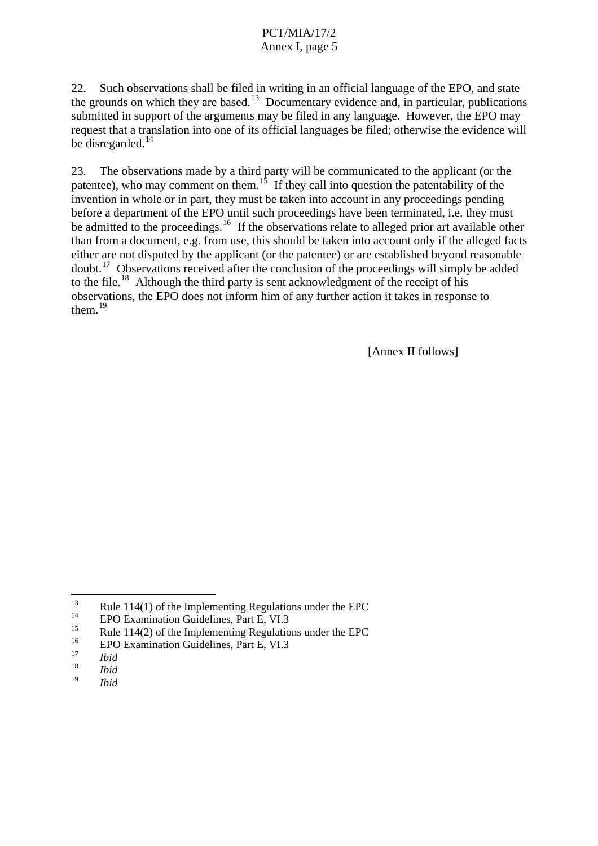## PCT/MIA/17/2 Annex I, page 5

22. Such observations shall be filed in writing in an official language of the EPO, and state the grounds on which they are based.<sup>[13](#page-13-0)</sup> Documentary evidence and, in particular, publications submitted in support of the arguments may be filed in any language. However, the EPO may request that a translation into one of its official languages be filed; otherwise the evidence will be disregarded. $^{14}$  $^{14}$  $^{14}$ 

23. The observations made by a third party will be communicated to the applicant (or the patentee), who may comment on them.<sup>[15](#page-13-2)</sup> If they call into question the patentability of the invention in whole or in part, they must be taken into account in any proceedings pending before a department of the EPO until such proceedings have been terminated, i.e. they must be admitted to the proceedings.<sup>[16](#page-13-3)</sup> If the observations relate to alleged prior art available other than from a document, e.g. from use, this should be taken into account only if the alleged facts either are not disputed by the applicant (or the patentee) or are established beyond reasonable doubt.[17](#page-13-4) Observations received after the conclusion of the proceedings will simply be added to the file.<sup>[18](#page-13-5)</sup> Although the third party is sent acknowledgment of the receipt of his observations, the EPO does not inform him of any further action it takes in response to them.<sup>[19](#page-13-6)</sup>

[Annex II follows]

<span id="page-13-0"></span> $13$ <sup>13</sup> Rule 114(1) of the Implementing Regulations under the EPC<br><sup>14</sup> EPC Equations Criticists Part E VI.2

<span id="page-13-1"></span><sup>&</sup>lt;sup>14</sup> EPO Examination Guidelines, Part E, VI.3<br><sup>15</sup> Puls 114(2) of the Implementing Bossulation

<span id="page-13-2"></span><sup>&</sup>lt;sup>15</sup> Rule 114(2) of the Implementing Regulations under the EPC

<span id="page-13-3"></span><sup>&</sup>lt;sup>16</sup> EPO Examination Guidelines, Part E, VI.3

<span id="page-13-4"></span> $\frac{17}{18}$  *Ibid* 

<span id="page-13-6"></span><span id="page-13-5"></span> $\frac{18}{19}$  *Ibid* 

<sup>19</sup> *Ibid*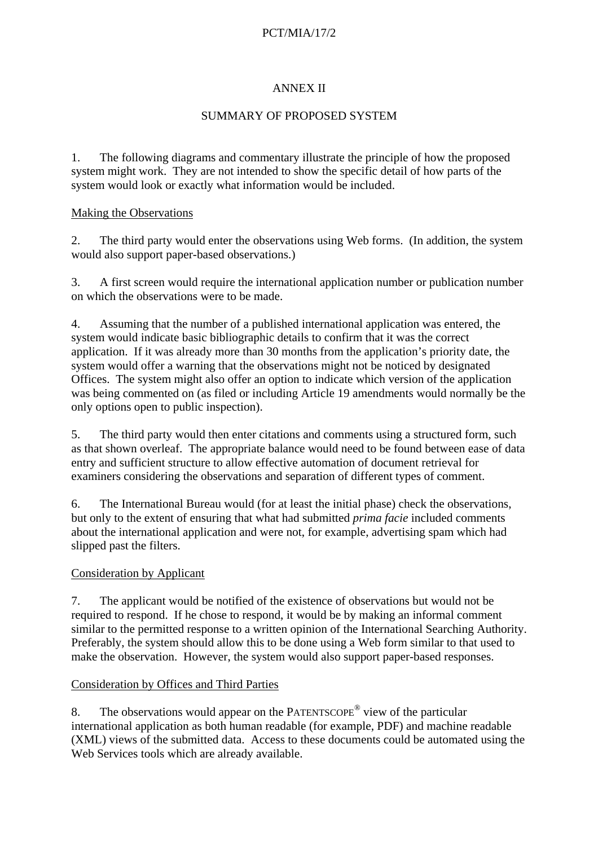# PCT/MIA/17/2

## ANNEX II

# SUMMARY OF PROPOSED SYSTEM

1. The following diagrams and commentary illustrate the principle of how the proposed system might work. They are not intended to show the specific detail of how parts of the system would look or exactly what information would be included.

#### Making the Observations

2. The third party would enter the observations using Web forms. (In addition, the system would also support paper-based observations.)

3. A first screen would require the international application number or publication number on which the observations were to be made.

4. Assuming that the number of a published international application was entered, the system would indicate basic bibliographic details to confirm that it was the correct application. If it was already more than 30 months from the application's priority date, the system would offer a warning that the observations might not be noticed by designated Offices. The system might also offer an option to indicate which version of the application was being commented on (as filed or including Article 19 amendments would normally be the only options open to public inspection).

5. The third party would then enter citations and comments using a structured form, such as that shown overleaf. The appropriate balance would need to be found between ease of data entry and sufficient structure to allow effective automation of document retrieval for examiners considering the observations and separation of different types of comment.

6. The International Bureau would (for at least the initial phase) check the observations, but only to the extent of ensuring that what had submitted *prima facie* included comments about the international application and were not, for example, advertising spam which had slipped past the filters.

## Consideration by Applicant

7. The applicant would be notified of the existence of observations but would not be required to respond. If he chose to respond, it would be by making an informal comment similar to the permitted response to a written opinion of the International Searching Authority. Preferably, the system should allow this to be done using a Web form similar to that used to make the observation. However, the system would also support paper-based responses.

## Consideration by Offices and Third Parties

8. The observations would appear on the PATENTSCOPE<sup>®</sup> view of the particular international application as both human readable (for example, PDF) and machine readable (XML) views of the submitted data. Access to these documents could be automated using the Web Services tools which are already available.